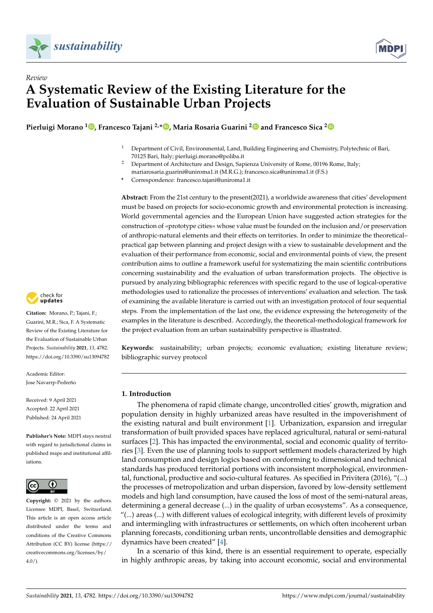



## *Review* **A Systematic Review of the Existing Literature for the Evaluation of Sustainable Urban Projects**

**Pierluigi Morano <sup>1</sup> [,](https://orcid.org/0000-0001-8049-1206) Francesco Tajani 2,\* [,](https://orcid.org/0000-0002-2011-1950) Maria Rosaria Guarini [2](https://orcid.org/0000-0002-8675-7498) and Francesco Sica [2](https://orcid.org/0000-0002-5691-4747)**

- <sup>1</sup> Department of Civil, Environmental, Land, Building Engineering and Chemistry, Polytechnic of Bari, 70125 Bari, Italy; pierluigi.morano@poliba.it
- <sup>2</sup> Department of Architecture and Design, Sapienza University of Rome, 00196 Rome, Italy; mariarosaria.guarini@uniroma1.it (M.R.G.); francesco.sica@uniroma1.it (F.S.)

**\*** Correspondence: francesco.tajani@uniroma1.it

**Abstract:** From the 21st century to the present(2021), a worldwide awareness that cities' development must be based on projects for socio-economic growth and environmental protection is increasing. World governmental agencies and the European Union have suggested action strategies for the construction of «prototype cities» whose value must be founded on the inclusion and/or preservation of anthropic-natural elements and their effects on territories. In order to minimize the theoretical– practical gap between planning and project design with a view to sustainable development and the evaluation of their performance from economic, social and environmental points of view, the present contribution aims to outline a framework useful for systematizing the main scientific contributions concerning sustainability and the evaluation of urban transformation projects. The objective is pursued by analyzing bibliographic references with specific regard to the use of logical-operative methodologies used to rationalize the processes of interventions' evaluation and selection. The task of examining the available literature is carried out with an investigation protocol of four sequential steps. From the implementation of the last one, the evidence expressing the heterogeneity of the examples in the literature is described. Accordingly, the theoretical-methodological framework for the project evaluation from an urban sustainability perspective is illustrated.

**Keywords:** sustainability; urban projects; economic evaluation; existing literature review; bibliographic survey protocol

## **1. Introduction**

The phenomena of rapid climate change, uncontrolled cities' growth, migration and population density in highly urbanized areas have resulted in the impoverishment of the existing natural and built environment [\[1\]](#page-13-0). Urbanization, expansion and irregular transformation of built provided spaces have replaced agricultural, natural or semi-natural surfaces [\[2\]](#page-13-1). This has impacted the environmental, social and economic quality of territories [\[3\]](#page-13-2). Even the use of planning tools to support settlement models characterized by high land consumption and design logics based on conforming to dimensional and technical standards has produced territorial portions with inconsistent morphological, environmental, functional, productive and socio-cultural features. As specified in Privitera (2016), "(...) the processes of metropolization and urban dispersion, favored by low-density settlement models and high land consumption, have caused the loss of most of the semi-natural areas, determining a general decrease (...) in the quality of urban ecosystems". As a consequence, "(...) areas (...) with different values of ecological integrity, with different levels of proximity and intermingling with infrastructures or settlements, on which often incoherent urban planning forecasts, conditioning urban rents, uncontrollable densities and demographic dynamics have been created" [\[4\]](#page-14-0).

In a scenario of this kind, there is an essential requirement to operate, especially in highly anthropic areas, by taking into account economic, social and environmental



**Citation:** Morano, P.; Tajani, F.; Guarini, M.R.; Sica, F. A Systematic Review of the Existing Literature for the Evaluation of Sustainable Urban Projects. *Sustainability* **2021**, *13*, 4782. <https://doi.org/10.3390/su13094782>

Academic Editor: Jose Navarrp-Pedreño

Received: 9 April 2021 Accepted: 22 April 2021 Published: 24 April 2021

**Publisher's Note:** MDPI stays neutral with regard to jurisdictional claims in published maps and institutional affiliations.



**Copyright:** © 2021 by the authors. Licensee MDPI, Basel, Switzerland. This article is an open access article distributed under the terms and conditions of the Creative Commons Attribution (CC BY) license (https:/[/](https://creativecommons.org/licenses/by/4.0/) [creativecommons.org/licenses/by/](https://creativecommons.org/licenses/by/4.0/)  $4.0/$ ).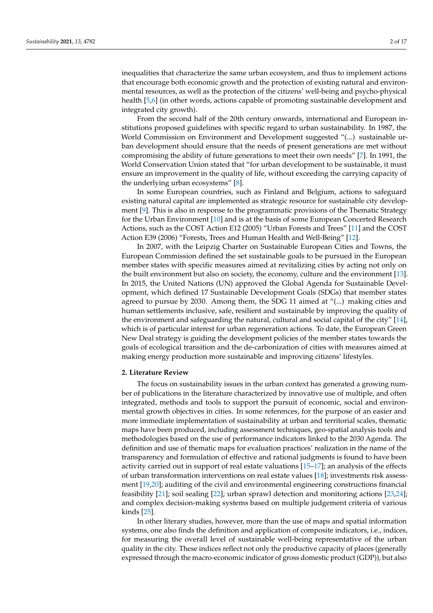inequalities that characterize the same urban ecosystem, and thus to implement actions that encourage both economic growth and the protection of existing natural and environmental resources, as well as the protection of the citizens' well-being and psycho-physical health [\[5,](#page-14-1)[6\]](#page-14-2) (in other words, actions capable of promoting sustainable development and integrated city growth).

From the second half of the 20th century onwards, international and European institutions proposed guidelines with specific regard to urban sustainability. In 1987, the World Commission on Environment and Development suggested "(...) sustainable urban development should ensure that the needs of present generations are met without compromising the ability of future generations to meet their own needs" [\[7\]](#page-14-3). In 1991, the World Conservation Union stated that "for urban development to be sustainable, it must ensure an improvement in the quality of life, without exceeding the carrying capacity of the underlying urban ecosystems" [\[8\]](#page-14-4).

In some European countries, such as Finland and Belgium, actions to safeguard existing natural capital are implemented as strategic resource for sustainable city development [\[9\]](#page-14-5). This is also in response to the programmatic provisions of the Thematic Strategy for the Urban Environment [\[10\]](#page-14-6) and is at the basis of some European Concerted Research Actions, such as the COST Action E12 (2005) "Urban Forests and Trees" [\[11\]](#page-14-7) and the COST Action E39 (2006) "Forests, Trees and Human Health and Well-Being" [\[12\]](#page-14-8).

In 2007, with the Leipzig Charter on Sustainable European Cities and Towns, the European Commission defined the set sustainable goals to be pursued in the European member states with specific measures aimed at revitalizing cities by acting not only on the built environment but also on society, the economy, culture and the environment [\[13\]](#page-14-9). In 2015, the United Nations (UN) approved the Global Agenda for Sustainable Development, which defined 17 Sustainable Development Goals (SDGs) that member states agreed to pursue by 2030. Among them, the SDG 11 aimed at "(...) making cities and human settlements inclusive, safe, resilient and sustainable by improving the quality of the environment and safeguarding the natural, cultural and social capital of the city" [\[14\]](#page-14-10), which is of particular interest for urban regeneration actions. To date, the European Green New Deal strategy is guiding the development policies of the member states towards the goals of ecological transition and the de-carbonization of cities with measures aimed at making energy production more sustainable and improving citizens' lifestyles.

## **2. Literature Review**

The focus on sustainability issues in the urban context has generated a growing number of publications in the literature characterized by innovative use of multiple, and often integrated, methods and tools to support the pursuit of economic, social and environmental growth objectives in cities. In some references, for the purpose of an easier and more immediate implementation of sustainability at urban and territorial scales, thematic maps have been produced, including assessment techniques, geo-spatial analysis tools and methodologies based on the use of performance indicators linked to the 2030 Agenda. The definition and use of thematic maps for evaluation practices' realization in the name of the transparency and formulation of effective and rational judgments is found to have been activity carried out in support of real estate valuations [\[15–](#page-14-11)[17\]](#page-14-12); an analysis of the effects of urban transformation interventions on real estate values [\[18\]](#page-14-13); investments risk assessment [\[19](#page-14-14)[,20\]](#page-14-15); auditing of the civil and environmental engineering constructions financial feasibility [\[21\]](#page-14-16); soil sealing [\[22\]](#page-14-17); urban sprawl detection and monitoring actions [\[23,](#page-14-18)[24\]](#page-14-19); and complex decision-making systems based on multiple judgement criteria of various kinds [\[25\]](#page-14-20).

In other literary studies, however, more than the use of maps and spatial information systems, one also finds the definition and application of composite indicators, i.e., indices, for measuring the overall level of sustainable well-being representative of the urban quality in the city. These indices reflect not only the productive capacity of places (generally expressed through the macro-economic indicator of gross domestic product (GDP)), but also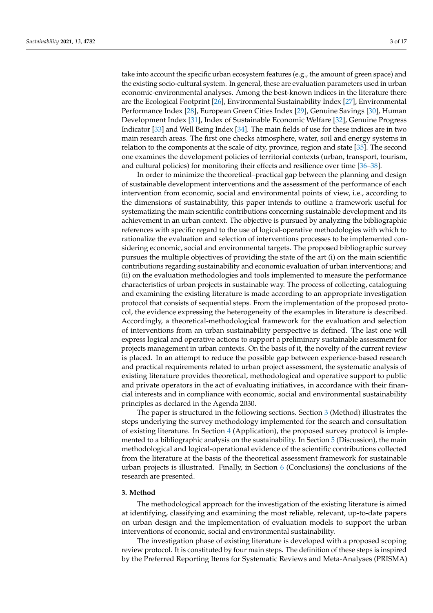take into account the specific urban ecosystem features (e.g., the amount of green space) and the existing socio-cultural system. In general, these are evaluation parameters used in urban economic-environmental analyses. Among the best-known indices in the literature there are the Ecological Footprint [\[26\]](#page-14-21), Environmental Sustainability Index [\[27\]](#page-14-22), Environmental Performance Index [\[28\]](#page-14-23), European Green Cities Index [\[29\]](#page-15-0), Genuine Savings [\[30\]](#page-15-1), Human Development Index [\[31\]](#page-15-2), Index of Sustainable Economic Welfare [\[32\]](#page-15-3), Genuine Progress Indicator [\[33\]](#page-15-4) and Well Being Index [\[34\]](#page-15-5). The main fields of use for these indices are in two main research areas. The first one checks atmosphere, water, soil and energy systems in relation to the components at the scale of city, province, region and state [\[35\]](#page-15-6). The second one examines the development policies of territorial contexts (urban, transport, tourism, and cultural policies) for monitoring their effects and resilience over time [\[36–](#page-15-7)[38\]](#page-15-8).

In order to minimize the theoretical–practical gap between the planning and design of sustainable development interventions and the assessment of the performance of each intervention from economic, social and environmental points of view, i.e., according to the dimensions of sustainability, this paper intends to outline a framework useful for systematizing the main scientific contributions concerning sustainable development and its achievement in an urban context. The objective is pursued by analyzing the bibliographic references with specific regard to the use of logical-operative methodologies with which to rationalize the evaluation and selection of interventions processes to be implemented considering economic, social and environmental targets. The proposed bibliographic survey pursues the multiple objectives of providing the state of the art (i) on the main scientific contributions regarding sustainability and economic evaluation of urban interventions; and (ii) on the evaluation methodologies and tools implemented to measure the performance characteristics of urban projects in sustainable way. The process of collecting, cataloguing and examining the existing literature is made according to an appropriate investigation protocol that consists of sequential steps. From the implementation of the proposed protocol, the evidence expressing the heterogeneity of the examples in literature is described. Accordingly, a theoretical-methodological framework for the evaluation and selection of interventions from an urban sustainability perspective is defined. The last one will express logical and operative actions to support a preliminary sustainable assessment for projects management in urban contexts. On the basis of it, the novelty of the current review is placed. In an attempt to reduce the possible gap between experience-based research and practical requirements related to urban project assessment, the systematic analysis of existing literature provides theoretical, methodological and operative support to public and private operators in the act of evaluating initiatives, in accordance with their financial interests and in compliance with economic, social and environmental sustainability principles as declared in the Agenda 2030.

The paper is structured in the following sections. Section [3](#page-2-0) (Method) illustrates the steps underlying the survey methodology implemented for the search and consultation of existing literature. In Section [4](#page-5-0) (Application), the proposed survey protocol is implemented to a bibliographic analysis on the sustainability. In Section [5](#page-10-0) (Discussion), the main methodological and logical-operational evidence of the scientific contributions collected from the literature at the basis of the theoretical assessment framework for sustainable urban projects is illustrated. Finally, in Section  $6$  (Conclusions) the conclusions of the research are presented.

#### <span id="page-2-0"></span>**3. Method**

The methodological approach for the investigation of the existing literature is aimed at identifying, classifying and examining the most reliable, relevant, up-to-date papers on urban design and the implementation of evaluation models to support the urban interventions of economic, social and environmental sustainability.

The investigation phase of existing literature is developed with a proposed scoping review protocol. It is constituted by four main steps. The definition of these steps is inspired by the Preferred Reporting Items for Systematic Reviews and Meta-Analyses (PRISMA)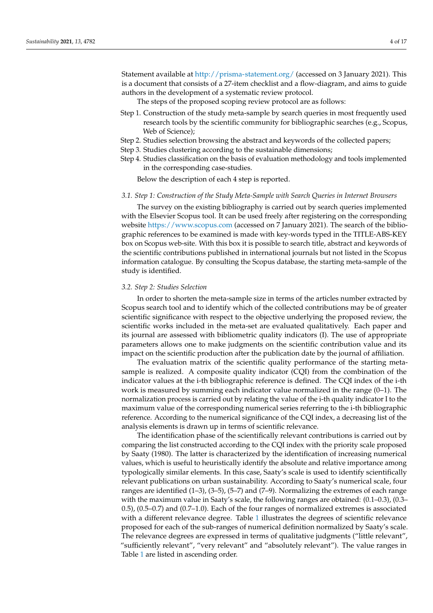Statement available at <http://prisma-statement.org/> (accessed on 3 January 2021). This is a document that consists of a 27-item checklist and a flow-diagram, and aims to guide authors in the development of a systematic review protocol.

The steps of the proposed scoping review protocol are as follows:

- Step 1. Construction of the study meta-sample by search queries in most frequently used research tools by the scientific community for bibliographic searches (e.g., Scopus, Web of Science);
- Step 2. Studies selection browsing the abstract and keywords of the collected papers;
- Step 3. Studies clustering according to the sustainable dimensions;
- Step 4. Studies classification on the basis of evaluation methodology and tools implemented in the corresponding case-studies.

Below the description of each 4 step is reported.

#### *3.1. Step 1: Construction of the Study Meta-Sample with Search Queries in Internet Browsers*

The survey on the existing bibliography is carried out by search queries implemented with the Elsevier Scopus tool. It can be used freely after registering on the corresponding website <https://www.scopus.com> (accessed on 7 January 2021). The search of the bibliographic references to be examined is made with key-words typed in the TITLE-ABS-KEY box on Scopus web-site. With this box it is possible to search title, abstract and keywords of the scientific contributions published in international journals but not listed in the Scopus information catalogue. By consulting the Scopus database, the starting meta-sample of the study is identified.

#### *3.2. Step 2: Studies Selection*

In order to shorten the meta-sample size in terms of the articles number extracted by Scopus search tool and to identify which of the collected contributions may be of greater scientific significance with respect to the objective underlying the proposed review, the scientific works included in the meta-set are evaluated qualitatively. Each paper and its journal are assessed with bibliometric quality indicators (I). The use of appropriate parameters allows one to make judgments on the scientific contribution value and its impact on the scientific production after the publication date by the journal of affiliation.

The evaluation matrix of the scientific quality performance of the starting metasample is realized. A composite quality indicator (CQI) from the combination of the indicator values at the i-th bibliographic reference is defined. The CQI index of the i-th work is measured by summing each indicator value normalized in the range (0–1). The normalization process is carried out by relating the value of the i-th quality indicator I to the maximum value of the corresponding numerical series referring to the i-th bibliographic reference. According to the numerical significance of the CQI index, a decreasing list of the analysis elements is drawn up in terms of scientific relevance.

The identification phase of the scientifically relevant contributions is carried out by comparing the list constructed according to the CQI index with the priority scale proposed by Saaty (1980). The latter is characterized by the identification of increasing numerical values, which is useful to heuristically identify the absolute and relative importance among typologically similar elements. In this case, Saaty's scale is used to identify scientifically relevant publications on urban sustainability. According to Saaty's numerical scale, four ranges are identified (1–3), (3–5), (5–7) and (7–9). Normalizing the extremes of each range with the maximum value in Saaty's scale, the following ranges are obtained: (0.1–0.3), (0.3– 0.5), (0.5–0.7) and (0.7–1.0). Each of the four ranges of normalized extremes is associated with a different relevance degree. Table [1](#page-4-0) illustrates the degrees of scientific relevance proposed for each of the sub-ranges of numerical definition normalized by Saaty's scale. The relevance degrees are expressed in terms of qualitative judgments ("little relevant", "sufficiently relevant", "very relevant" and "absolutely relevant"). The value ranges in Table [1](#page-4-0) are listed in ascending order.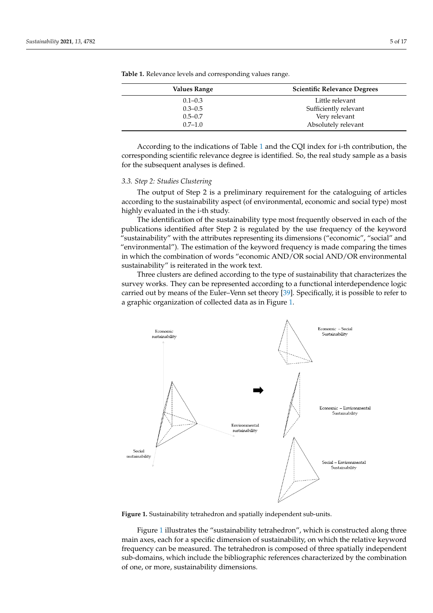| Values Range | <b>Scientific Relevance Degrees</b> |
|--------------|-------------------------------------|
| $0.1 - 0.3$  | Little relevant                     |
| $0.3 - 0.5$  | Sufficiently relevant               |
| $0.5 - 0.7$  | Very relevant                       |
| $0.7 - 1.0$  | Absolutely relevant                 |

<span id="page-4-0"></span>**Table 1.** Relevance levels and corresponding values range.

According to the indications of Table [1](#page-4-0) and the CQI index for i-th contribution, the corresponding scientific relevance degree is identified. So, the real study sample as a basis for the subsequent analyses is defined.

#### *3.3. Step 2: Studies Clustering*

The output of Step 2 is a preliminary requirement for the cataloguing of articles according to the sustainability aspect (of environmental, economic and social type) most highly evaluated in the i-th study.

The identification of the sustainability type most frequently observed in each of the publications identified after Step 2 is regulated by the use frequency of the keyword "sustainability" with the attributes representing its dimensions ("economic", "social" and "environmental"). The estimation of the keyword frequency is made comparing the times in which the combination of words "economic AND/OR social AND/OR environmental sustainability" is reiterated in the work text.

Three clusters are defined according to the type of sustainability that characterizes the survey works. They can be represented according to a functional interdependence logic carried out by means of the Euler–Venn set theory [\[39\]](#page-15-9). Specifically, it is possible to refer to a graphic organization of collected data as in Figure [1.](#page-4-1)

<span id="page-4-1"></span>

**Figure 1.** Sustainability tetrahedron and spatially independent sub-units. **Figure 1.** Sustainability tetrahedron and spatially independent sub-units.

Figure 1 illustrat[es](#page-4-1) the "sustainability tetrahedron", which is constructed along three main axes, each for a specific dimension of sustainability, on which the relative keyword frequency can be measured. The tetrahedron is composed of three spatially independent sub-domains, which include the bibliographic references characterized by the combination of one, or more, sustainability dimensions.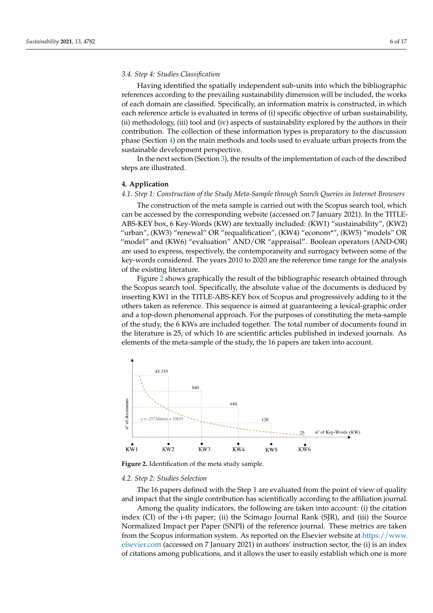## *3.4. Step 4: Studies Classification*

Having identified the spatially independent sub-units into which the bibliographic references according to the prevailing sustainability dimension will be included, the works of each domain are classified. Specifically, an information matrix is constructed, in which each reference article is evaluated in terms of (i) specific objective of urban sustainability, (ii) methodology, (iii) tool and (iv) aspects of sustainability explored by the authors in their contribution. The collection of these information types is preparatory to the discussion phase (Section [4\)](#page-5-0) on the main methods and tools used to evaluate urban projects from the sustainable development perspective.

In the next section (Section [3\)](#page-2-0), the results of the implementation of each of the described steps are illustrated.

## <span id="page-5-0"></span>**4. Application**

## *4.1. Step 1: Construction of the Study Meta-Sample through Search Queries in Internet Browsers*

The construction of the meta sample is carried out with the Scopus search tool, which can be accessed by the corresponding website (accessed on 7 January 2021). In the TITLE-ABS-KEY box, 6 Key-Words (KW) are textually included: (KW1) "sustainability", (KW2) "urban", (KW3) "renewal" OR "requalification", (KW4) "econom\*", (KW5) "models" OR "model" and (KW6) "evaluation" AND/OR "appraisal". Boolean operators (AND-OR) are used to express, respectively, the contemporaneity and surrogacy between some of the key-words considered. The years 2010 to 2020 are the reference time range for the analysis of the existing literature.

Figure [2](#page-5-1) shows graphically the result of the bibliographic research obtained through the Scopus search tool. Specifically, the absolute value of the documents is deduced by inserting KW1 in the TITLE-ABS-KEY box of Scopus and progressively adding to it the others taken as reference. This sequence is aimed at guaranteeing a lexical-graphic order and a top-down phenomenal approach. For the purposes of constituting the meta-sample of the study, the 6 KWs are included together. The total number of documents found in the literature is 25, of which 16 are scientific articles published in indexed journals. As the literature is 25, of which 16 are scientific articles published in indexed journals. As elements of the meta-sample of the study, the 16 papers are taken into account. elements of the meta-sample of the study, the 16 papers are taken into account.

<span id="page-5-1"></span>

**Figure 2.** Identification of the meta study sample.

## **Figure 2.** Identification of the meta study sample. *4.2. Step 2: Studies Selection*

*4.2. Step 2: Studies Selection*  The 16 papers defined with the Step 1 are evaluated from the point of view of quality and impact that the single contribution has scientifically according to the affiliation journal.<br>
and interval

 $\alpha$  impact that the single contribution has scientifically according to the affiliation  $\alpha$ index (CI) of the i-th paper; (ii) the Scimago Journal Rank (SJR), and (iii) the Source<br>Nexus lined Investigation Persy (CND) of the urfaunce issued These matrice are taken from the Scopus information system. As reported on the Elsevier website at [https://www.](https://www.elsevier.com) [elsevier.com](https://www.elsevier.com) (accessed on 7 January 2021) in authors' instruction sector, the (i) is an index elsevier.com (accessed on 7 January 2021) in authors' instruction sector, the (i) is an index  $t_{\text{c}}$  intervent (website  $\alpha$  reported on the Elsevier website at  $\mu$  at  $\mu$  at  $\mu$  at  $\alpha$  reported on the Elsevier website at  $\mu$  reported on the Elsevier website at  $\mu$ of citations among publications, and it allows the user to easily establish which one is more Among the quality indicators, the following are taken into account: (i) the citation Normalized Impact per Paper (SNPI) of the reference journal. These metrics are taken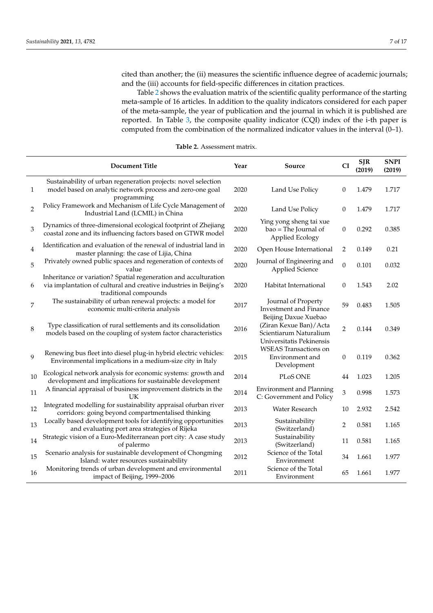cited than another; the (ii) measures the scientific influence degree of academic journals; and the (iii) accounts for field-specific differences in citation practices.

Table [2](#page-6-0) shows the evaluation matrix of the scientific quality performance of the starting meta-sample of 16 articles. In addition to the quality indicators considered for each paper of the meta-sample, the year of publication and the journal in which it is published are reported. In Table [3,](#page-7-0) the composite quality indicator (CQI) index of the i-th paper is computed from the combination of the normalized indicator values in the interval (0–1).

<span id="page-6-0"></span>

|                | <b>Document Title</b>                                                                                                                                          | Year | Source                                                                                               | CI               | <b>SJR</b><br>(2019) | <b>SNPI</b><br>(2019) |
|----------------|----------------------------------------------------------------------------------------------------------------------------------------------------------------|------|------------------------------------------------------------------------------------------------------|------------------|----------------------|-----------------------|
| 1              | Sustainability of urban regeneration projects: novel selection<br>model based on analytic network process and zero-one goal                                    | 2020 | Land Use Policy                                                                                      | 0                | 1.479                | 1.717                 |
| $\overline{c}$ | programming<br>Policy Framework and Mechanism of Life Cycle Management of<br>Industrial Land (LCMIL) in China                                                  | 2020 | Land Use Policy                                                                                      | 0                | 1.479                | 1.717                 |
| 3              | Dynamics of three-dimensional ecological footprint of Zhejiang<br>coastal zone and its influencing factors based on GTWR model                                 | 2020 | Ying yong sheng tai xue<br>bao = The Journal of<br>Applied Ecology                                   | $\boldsymbol{0}$ | 0.292                | 0.385                 |
| $\overline{4}$ | Identification and evaluation of the renewal of industrial land in<br>master planning: the case of Lijia, China                                                | 2020 | Open House International                                                                             | 2                | 0.149                | 0.21                  |
| 5              | Privately owned public spaces and regeneration of contexts of<br>value                                                                                         | 2020 | Journal of Engineering and<br><b>Applied Science</b>                                                 | $\boldsymbol{0}$ | 0.101                | 0.032                 |
| 6              | Inheritance or variation? Spatial regeneration and acculturation<br>via implantation of cultural and creative industries in Beijing's<br>traditional compounds | 2020 | Habitat International                                                                                | 0                | 1.543                | 2.02                  |
| 7              | The sustainability of urban renewal projects: a model for<br>economic multi-criteria analysis                                                                  | 2017 | Journal of Property<br><b>Investment and Finance</b>                                                 | 59               | 0.483                | 1.505                 |
| 8              | Type classification of rural settlements and its consolidation<br>models based on the coupling of system factor characteristics                                | 2016 | Beijing Daxue Xuebao<br>(Ziran Kexue Ban)/Acta<br>Scientiarum Naturalium<br>Universitatis Pekinensis | $\overline{2}$   | 0.144                | 0.349                 |
| 9              | Renewing bus fleet into diesel plug-in hybrid electric vehicles:<br>Environmental implications in a medium-size city in Italy                                  | 2015 | <b>WSEAS</b> Transactions on<br>Environment and<br>Development                                       | $\boldsymbol{0}$ | 0.119                | 0.362                 |
| 10             | Ecological network analysis for economic systems: growth and<br>development and implications for sustainable development                                       | 2014 | PLoS ONE                                                                                             | 44               | 1.023                | 1.205                 |
| 11             | A financial appraisal of business improvement districts in the<br>UК                                                                                           | 2014 | <b>Environment and Planning</b><br>C: Government and Policy                                          | 3                | 0.998                | 1.573                 |
| 12             | Integrated modelling for sustainability appraisal ofurban river<br>corridors: going beyond compartmentalised thinking                                          | 2013 | Water Research                                                                                       | 10               | 2.932                | 2.542                 |
| 13             | Locally based development tools for identifying opportunities<br>and evaluating port area strategies of Rijeka                                                 | 2013 | Sustainability<br>(Switzerland)                                                                      | $\overline{2}$   | 0.581                | 1.165                 |
| 14             | Strategic vision of a Euro-Mediterranean port city: A case study<br>of palermo                                                                                 | 2013 | Sustainability<br>(Switzerland)                                                                      | 11               | 0.581                | 1.165                 |
| 15             | Scenario analysis for sustainable development of Chongming<br>Island: water resources sustainability                                                           | 2012 | Science of the Total<br>Environment                                                                  | 34               | 1.661                | 1.977                 |
| 16             | Monitoring trends of urban development and environmental<br>impact of Beijing, 1999-2006                                                                       | 2011 | Science of the Total<br>Environment                                                                  | 65               | 1.661                | 1.977                 |

**Table 2.** Assessment matrix.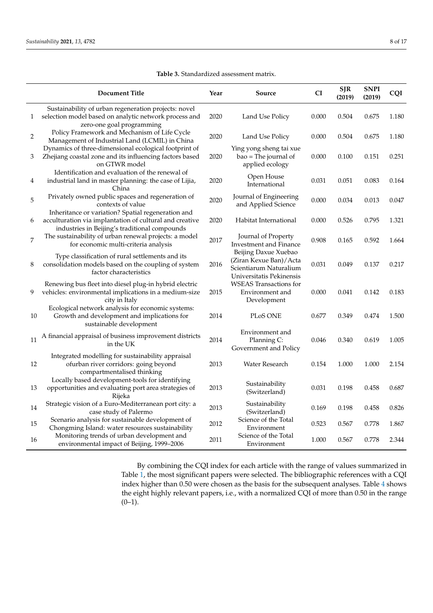L.

<span id="page-7-0"></span>

|                  | <b>Document Title</b>                                                                                                                                          | Year | Source                                                                                                 | CI    | <b>SJR</b><br>(2019) | <b>SNPI</b><br>(2019) | CQI   |
|------------------|----------------------------------------------------------------------------------------------------------------------------------------------------------------|------|--------------------------------------------------------------------------------------------------------|-------|----------------------|-----------------------|-------|
| $\mathbf{1}$     | Sustainability of urban regeneration projects: novel<br>selection model based on analytic network process and<br>zero-one goal programming                     | 2020 | Land Use Policy                                                                                        | 0.000 | 0.504                | 0.675                 | 1.180 |
| $\overline{c}$   | Policy Framework and Mechanism of Life Cycle<br>Management of Industrial Land (LCMIL) in China                                                                 | 2020 | Land Use Policy                                                                                        | 0.000 | 0.504                | 0.675                 | 1.180 |
| 3                | Dynamics of three-dimensional ecological footprint of<br>Zhejiang coastal zone and its influencing factors based<br>on GTWR model                              | 2020 | Ying yong sheng tai xue<br>bao = The journal of<br>applied ecology                                     | 0.000 | 0.100                | 0.151                 | 0.251 |
| $\overline{4}$   | Identification and evaluation of the renewal of<br>industrial land in master planning: the case of Lijia,<br>China                                             | 2020 | Open House<br>International                                                                            | 0.031 | 0.051                | 0.083                 | 0.164 |
| 5                | Privately owned public spaces and regeneration of<br>contexts of value                                                                                         | 2020 | Journal of Engineering<br>and Applied Science                                                          | 0.000 | 0.034                | 0.013                 | 0.047 |
| 6                | Inheritance or variation? Spatial regeneration and<br>acculturation via implantation of cultural and creative<br>industries in Beijing's traditional compounds | 2020 | Habitat International                                                                                  | 0.000 | 0.526                | 0.795                 | 1.321 |
| $\boldsymbol{7}$ | The sustainability of urban renewal projects: a model<br>for economic multi-criteria analysis                                                                  | 2017 | Journal of Property<br>Investment and Finance                                                          | 0.908 | 0.165                | 0.592                 | 1.664 |
| 8                | Type classification of rural settlements and its<br>consolidation models based on the coupling of system<br>factor characteristics                             | 2016 | Beijing Daxue Xuebao<br>(Ziran Kexue Ban) / Acta<br>Scientiarum Naturalium<br>Universitatis Pekinensis | 0.031 | 0.049                | 0.137                 | 0.217 |
| 9                | Renewing bus fleet into diesel plug-in hybrid electric<br>vehicles: environmental implications in a medium-size<br>city in Italy                               | 2015 | <b>WSEAS</b> Transactions for<br>Environment and<br>Development                                        | 0.000 | 0.041                | 0.142                 | 0.183 |
| 10               | Ecological network analysis for economic systems:<br>Growth and development and implications for<br>sustainable development                                    | 2014 | PLoS ONE                                                                                               | 0.677 | 0.349                | 0.474                 | 1.500 |
| 11               | A financial appraisal of business improvement districts<br>in the UK                                                                                           | 2014 | Environment and<br>Planning C:<br>Government and Policy                                                | 0.046 | 0.340                | 0.619                 | 1.005 |
| 12               | Integrated modelling for sustainability appraisal<br>ofurban river corridors: going beyond<br>compartmentalised thinking                                       | 2013 | Water Research                                                                                         | 0.154 | 1.000                | 1.000                 | 2.154 |
| 13               | Locally based development-tools for identifying<br>opportunities and evaluating port area strategies of<br>Rijeka                                              | 2013 | Sustainability<br>(Switzerland)                                                                        | 0.031 | 0.198                | 0.458                 | 0.687 |
| 14               | Strategic vision of a Euro-Mediterranean port city: a<br>case study of Palermo                                                                                 | 2013 | Sustainability<br>(Switzerland)                                                                        | 0.169 | 0.198                | 0.458                 | 0.826 |
| 15               | Scenario analysis for sustainable development of<br>Chongming Island: water resources sustainability                                                           | 2012 | Science of the Total<br>Environment                                                                    | 0.523 | 0.567                | 0.778                 | 1.867 |
| 16               | Monitoring trends of urban development and<br>environmental impact of Beijing, 1999-2006                                                                       | 2011 | Science of the Total<br>Environment                                                                    | 1.000 | 0.567                | 0.778                 | 2.344 |

#### **Table 3.** Standardized assessment matrix.

By combining the CQI index for each article with the range of values summarized in Table [1,](#page-4-0) the most significant papers were selected. The bibliographic references with a CQI index higher than 0.50 were chosen as the basis for the subsequent analyses. Table [4](#page-8-0) shows the eight highly relevant papers, i.e., with a normalized CQI of more than 0.50 in the range  $(0-1)$ .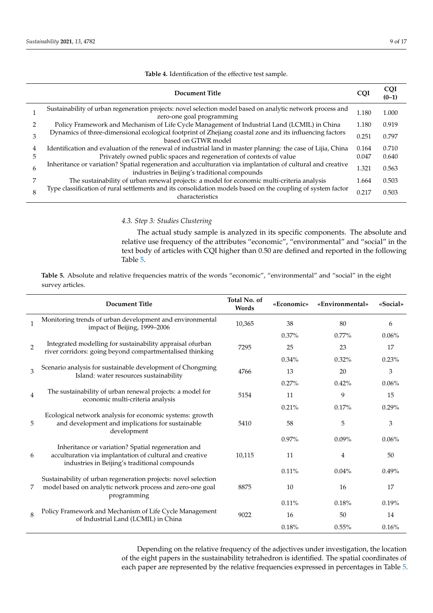<span id="page-8-0"></span>

|   | Document Title                                                                                                                                              | <b>COI</b> | <b>COI</b><br>$(0-1)$ |
|---|-------------------------------------------------------------------------------------------------------------------------------------------------------------|------------|-----------------------|
|   | Sustainability of urban regeneration projects: novel selection model based on analytic network process and<br>zero-one goal programming                     | 1.180      | 1.000                 |
|   | Policy Framework and Mechanism of Life Cycle Management of Industrial Land (LCMIL) in China                                                                 | 1.180      | 0.919                 |
|   | Dynamics of three-dimensional ecological footprint of Zhejiang coastal zone and its influencing factors<br>based on GTWR model                              | 0.251      | 0.797                 |
| 4 | Identification and evaluation of the renewal of industrial land in master planning: the case of Lijia, China                                                | 0.164      | 0.710                 |
| 5 | Privately owned public spaces and regeneration of contexts of value                                                                                         | 0.047      | 0.640                 |
| 6 | Inheritance or variation? Spatial regeneration and acculturation via implantation of cultural and creative<br>industries in Beijing's traditional compounds | 1.321      | 0.563                 |
|   | The sustainability of urban renewal projects: a model for economic multi-criteria analysis                                                                  | 1.664      | 0.503                 |
| 8 | Type classification of rural settlements and its consolidation models based on the coupling of system factor<br>characteristics                             | 0.217      | 0.503                 |

**Table 4.** Identification of the effective test sample.

## *4.3. Step 3: Studies Clustering*

The actual study sample is analyzed in its specific components. The absolute and relative use frequency of the attributes "economic", "environmental" and "social" in the text body of articles with CQI higher than 0.50 are defined and reported in the following Table [5.](#page-8-1)

<span id="page-8-1"></span>**Table 5.** Absolute and relative frequencies matrix of the words "economic", "environmental" and "social" in the eight survey articles.

|               | <b>Document Title</b>                                                                                                                                          | Total No. of<br>Words | «Economic» | «Environmental» | «Social» |
|---------------|----------------------------------------------------------------------------------------------------------------------------------------------------------------|-----------------------|------------|-----------------|----------|
|               | Monitoring trends of urban development and environmental<br>impact of Beijing, 1999-2006                                                                       | 10,365                | 38         | 80              | 6        |
|               |                                                                                                                                                                |                       | $0.37\%$   | $0.77\%$        | $0.06\%$ |
| $\mathcal{P}$ | Integrated modelling for sustainability appraisal of urban<br>river corridors: going beyond compartmentalised thinking                                         | 7295                  | 25         | 23              | 17       |
|               |                                                                                                                                                                |                       | $0.34\%$   | $0.32\%$        | 0.23%    |
| 3             | Scenario analysis for sustainable development of Chongming<br>Island: water resources sustainability                                                           | 4766                  | 13         | 20              | 3        |
|               |                                                                                                                                                                |                       | 0.27%      | 0.42%           | 0.06%    |
| 4             | The sustainability of urban renewal projects: a model for<br>economic multi-criteria analysis                                                                  | 5154                  | 11         | 9               | 15       |
|               |                                                                                                                                                                |                       | 0.21%      | 0.17%           | 0.29%    |
| 5             | Ecological network analysis for economic systems: growth<br>and development and implications for sustainable<br>development                                    | 5410                  | 58         | 5               | 3        |
|               |                                                                                                                                                                |                       | 0.97%      | 0.09%           | 0.06%    |
| 6             | Inheritance or variation? Spatial regeneration and<br>acculturation via implantation of cultural and creative<br>industries in Beijing's traditional compounds | 10,115                | 11         | 4               | 50       |
|               |                                                                                                                                                                |                       | 0.11%      | 0.04%           | 0.49%    |
| 7             | Sustainability of urban regeneration projects: novel selection<br>model based on analytic network process and zero-one goal<br>programming                     | 8875                  | 10         | 16              | 17       |
|               |                                                                                                                                                                |                       | $0.11\%$   | 0.18%           | 0.19%    |
| 8             | Policy Framework and Mechanism of Life Cycle Management<br>of Industrial Land (LCMIL) in China                                                                 | 9022                  | 16         | 50              | 14       |
|               |                                                                                                                                                                |                       | 0.18%      | $0.55\%$        | 0.16%    |

Depending on the relative frequency of the adjectives under investigation, the location of the eight papers in the sustainability tetrahedron is identified. The spatial coordinates of each paper are represented by the relative frequencies expressed in percentages in Table [5.](#page-8-1)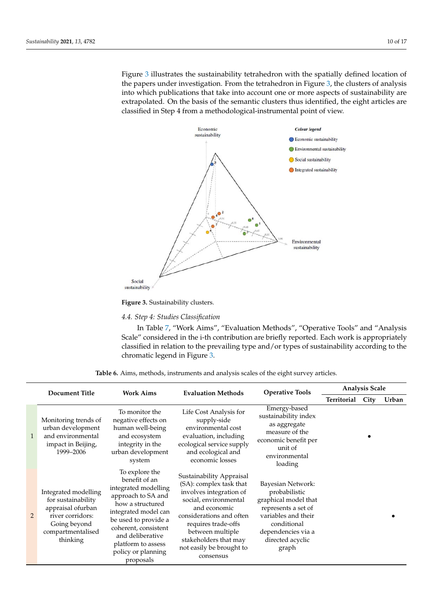Figure [3](#page-9-0) illustrates the sustainability tetrahedron with the spatially defined location of the papers under investigation. From the tetrahedron in Figure [3,](#page-9-0) the clusters of analysis into which publications that take into account one or more aspects of sustainability are extrapolated. On the basis of the semantic clusters thus identified, the eight articles are classified in Step 4 from a methodological-instrumental point of view.

<span id="page-9-0"></span>

#### **Figure 3.** Sustainability clusters.

# **Figure 3.** Sustainability clusters. *4.4. Step 4: Studies Classification*

*4.4. Step 4: Studies Clas[sif](#page-10-1)ication*  In Table 7, "Work Aims", "Evaluation Methods", "Operative Tools" and "Analysis Scale" considered in the i-th contribution are briefly reported. Each work is appropriately classified in relation to the prevailing type and/or types of sustainability according to the chromatic legend in Figure [3.](#page-9-0)

| <b>Work Aims</b><br><b>Document Title</b> |                                                                                                                                      | <b>Evaluation Methods</b>                                                                                                                                                                                                                              | <b>Operative Tools</b>                                                                                                                                                                                                                                           | <b>Analysis Scale</b>                                                                                                                                                      |             |      |       |
|-------------------------------------------|--------------------------------------------------------------------------------------------------------------------------------------|--------------------------------------------------------------------------------------------------------------------------------------------------------------------------------------------------------------------------------------------------------|------------------------------------------------------------------------------------------------------------------------------------------------------------------------------------------------------------------------------------------------------------------|----------------------------------------------------------------------------------------------------------------------------------------------------------------------------|-------------|------|-------|
|                                           |                                                                                                                                      |                                                                                                                                                                                                                                                        |                                                                                                                                                                                                                                                                  |                                                                                                                                                                            | Territorial | City | Urban |
| $\mathbf{1}$                              | Monitoring trends of<br>urban development<br>and environmental<br>impact in Beijing,<br>1999-2006                                    | To monitor the<br>negative effects on<br>human well-being<br>and ecosystem<br>integrity in the<br>urban development<br>system                                                                                                                          | Life Cost Analysis for<br>supply-side<br>environmental cost<br>evaluation, including<br>ecological service supply<br>and ecological and<br>economic losses                                                                                                       | Emergy-based<br>sustainability index<br>as aggregate<br>measure of the<br>economic benefit per<br>unit of<br>environmental<br>loading                                      |             |      |       |
| 2                                         | Integrated modelling<br>for sustainability<br>appraisal ofurban<br>river corridors:<br>Going beyond<br>compartmentalised<br>thinking | To explore the<br>benefit of an<br>integrated modelling<br>approach to SA and<br>how a structured<br>integrated model can<br>be used to provide a<br>coherent, consistent<br>and deliberative<br>platform to assess<br>policy or planning<br>proposals | Sustainability Appraisal<br>(SA): complex task that<br>involves integration of<br>social, environmental<br>and economic<br>considerations and often<br>requires trade-offs<br>between multiple<br>stakeholders that may<br>not easily be brought to<br>consensus | Bayesian Network:<br>probabilistic<br>graphical model that<br>represents a set of<br>variables and their<br>conditional<br>dependencies via a<br>directed acyclic<br>graph |             |      |       |

Table 6. Aims, methods, instruments and analysis scales of the eight survey articles.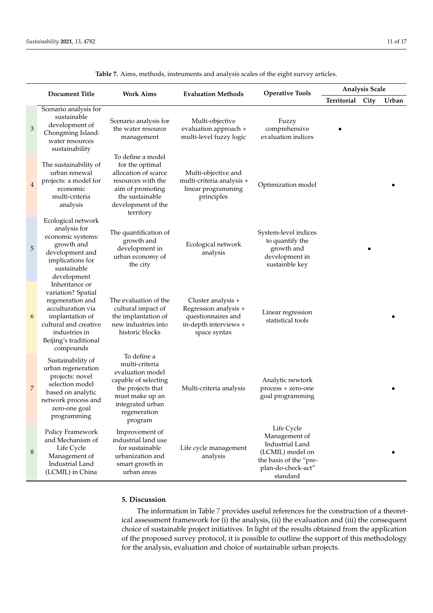<span id="page-10-1"></span>

| <b>Document Title</b> |                                                                                                                                                                                  | <b>Work Aims</b>                                                                                                                                                 | <b>Evaluation Methods</b>                                                                                  | <b>Operative Tools</b>                                                                                                         | <b>Analysis Scale</b> |      |       |  |
|-----------------------|----------------------------------------------------------------------------------------------------------------------------------------------------------------------------------|------------------------------------------------------------------------------------------------------------------------------------------------------------------|------------------------------------------------------------------------------------------------------------|--------------------------------------------------------------------------------------------------------------------------------|-----------------------|------|-------|--|
|                       |                                                                                                                                                                                  |                                                                                                                                                                  |                                                                                                            |                                                                                                                                | Territorial           | City | Urban |  |
| 3                     | Scenario analysis for<br>sustainable<br>development of<br>Chongming Island:<br>water resources<br>sustainability                                                                 | Scenario analysis for<br>the water resource<br>management                                                                                                        | Multi-objective<br>evaluation approach +<br>multi-level fuzzy logic                                        | Fuzzy<br>comprehensive<br>evaluation indices                                                                                   |                       |      |       |  |
| $\overline{4}$        | The sustainability of<br>urban renewal<br>projects: a model for<br>economic<br>multi-criteria<br>analysis                                                                        | To define a model<br>for the optimal<br>allocation of scarce<br>resources with the<br>aim of promoting<br>the sustainable<br>development of the<br>territory     | Multi-objective and<br>multi-criteria analysis +<br>linear programming<br>principles                       | Optimization model                                                                                                             |                       |      |       |  |
| 5                     | Ecological network<br>analysis for<br>economic systems:<br>growth and<br>development and<br>implications for<br>sustainable<br>development                                       | The quantification of<br>growth and<br>development in<br>urban economy of<br>the city                                                                            | Ecological network<br>analysis                                                                             | System-level indices<br>to quantify the<br>growth and<br>development in<br>sustainble key                                      |                       |      |       |  |
| 6                     | Inheritance or<br>variation? Spatial<br>regeneration and<br>acculturation via<br>implantation of<br>cultural and creative<br>industries in<br>Beijing's traditional<br>compounds | The evaluation of the<br>cultural impact of<br>the implantation of<br>new industries into<br>historic blocks                                                     | Cluster analysis +<br>Regression analysis +<br>questionnaires and<br>in-depth interviews +<br>space syntax | Linear regression<br>statistical tools                                                                                         |                       |      |       |  |
| 7                     | Sustainability of<br>urban regeneration<br>projects: novel<br>selection model<br>based on analytic<br>network process and<br>zero-one goal<br>programming                        | To define a<br>multi-criteria<br>evaluation model<br>capable of selecting<br>the projects that<br>must make up an<br>integrated urban<br>regeneration<br>program | Multi-criteria analysis                                                                                    | Analytic newtork<br>process + zero-one<br>goal programming                                                                     |                       |      |       |  |
| 8                     | Policy Framework<br>and Mechanism of<br>Life Cycle<br>Management of<br>Industrial Land<br>(LCMIL) in China                                                                       | Improvement of<br>industrial land use<br>for sustainable<br>urbanization and<br>smart growth in<br>urban areas                                                   | Life cycle management<br>analysis                                                                          | Life Cycle<br>Management of<br>Industrial Land<br>(LCMIL) model on<br>the basis of the "pre-<br>plan-do-check-act"<br>standard |                       |      |       |  |

**Table 7.** Aims, methods, instruments and analysis scales of the eight survey articles.

## <span id="page-10-0"></span>**5. Discussion**

The information in Table [7](#page-10-1) provides useful references for the construction of a theoretical assessment framework for (i) the analysis, (ii) the evaluation and (iii) the consequent choice of sustainable project initiatives. In light of the results obtained from the application of the proposed survey protocol, it is possible to outline the support of this methodology for the analysis, evaluation and choice of sustainable urban projects.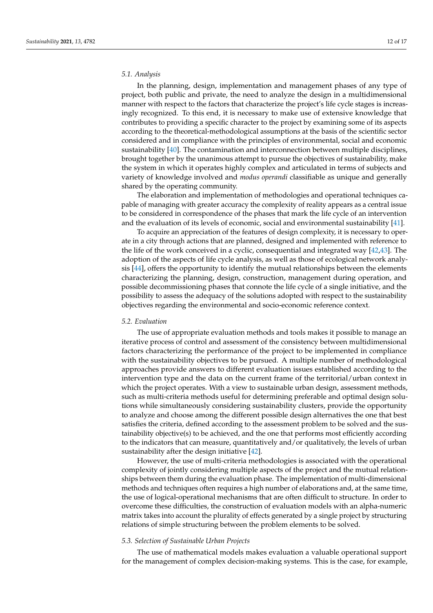## *5.1. Analysis*

In the planning, design, implementation and management phases of any type of project, both public and private, the need to analyze the design in a multidimensional manner with respect to the factors that characterize the project's life cycle stages is increasingly recognized. To this end, it is necessary to make use of extensive knowledge that contributes to providing a specific character to the project by examining some of its aspects according to the theoretical-methodological assumptions at the basis of the scientific sector considered and in compliance with the principles of environmental, social and economic sustainability [\[40\]](#page-15-10). The contamination and interconnection between multiple disciplines, brought together by the unanimous attempt to pursue the objectives of sustainability, make the system in which it operates highly complex and articulated in terms of subjects and variety of knowledge involved and *modus operandi* classifiable as unique and generally shared by the operating community.

The elaboration and implementation of methodologies and operational techniques capable of managing with greater accuracy the complexity of reality appears as a central issue to be considered in correspondence of the phases that mark the life cycle of an intervention and the evaluation of its levels of economic, social and environmental sustainability [\[41\]](#page-15-11).

To acquire an appreciation of the features of design complexity, it is necessary to operate in a city through actions that are planned, designed and implemented with reference to the life of the work conceived in a cyclic, consequential and integrated way [\[42](#page-15-12)[,43\]](#page-15-13). The adoption of the aspects of life cycle analysis, as well as those of ecological network analysis [\[44\]](#page-15-14), offers the opportunity to identify the mutual relationships between the elements characterizing the planning, design, construction, management during operation, and possible decommissioning phases that connote the life cycle of a single initiative, and the possibility to assess the adequacy of the solutions adopted with respect to the sustainability objectives regarding the environmental and socio-economic reference context.

#### *5.2. Evaluation*

The use of appropriate evaluation methods and tools makes it possible to manage an iterative process of control and assessment of the consistency between multidimensional factors characterizing the performance of the project to be implemented in compliance with the sustainability objectives to be pursued. A multiple number of methodological approaches provide answers to different evaluation issues established according to the intervention type and the data on the current frame of the territorial/urban context in which the project operates. With a view to sustainable urban design, assessment methods, such as multi-criteria methods useful for determining preferable and optimal design solutions while simultaneously considering sustainability clusters, provide the opportunity to analyze and choose among the different possible design alternatives the one that best satisfies the criteria, defined according to the assessment problem to be solved and the sustainability objective(s) to be achieved, and the one that performs most efficiently according to the indicators that can measure, quantitatively and/or qualitatively, the levels of urban sustainability after the design initiative [\[42\]](#page-15-12).

However, the use of multi-criteria methodologies is associated with the operational complexity of jointly considering multiple aspects of the project and the mutual relationships between them during the evaluation phase. The implementation of multi-dimensional methods and techniques often requires a high number of elaborations and, at the same time, the use of logical-operational mechanisms that are often difficult to structure. In order to overcome these difficulties, the construction of evaluation models with an alpha-numeric matrix takes into account the plurality of effects generated by a single project by structuring relations of simple structuring between the problem elements to be solved.

#### *5.3. Selection of Sustainable Urban Projects*

The use of mathematical models makes evaluation a valuable operational support for the management of complex decision-making systems. This is the case, for example,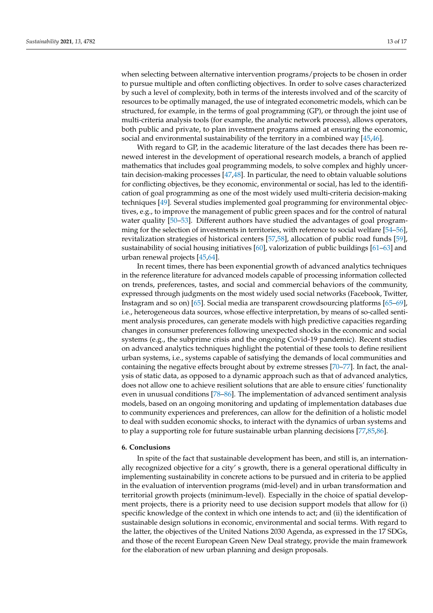when selecting between alternative intervention programs/projects to be chosen in order to pursue multiple and often conflicting objectives. In order to solve cases characterized by such a level of complexity, both in terms of the interests involved and of the scarcity of resources to be optimally managed, the use of integrated econometric models, which can be structured, for example, in the terms of goal programming (GP), or through the joint use of multi-criteria analysis tools (for example, the analytic network process), allows operators, both public and private, to plan investment programs aimed at ensuring the economic, social and environmental sustainability of the territory in a combined way [\[45](#page-15-15)[,46\]](#page-15-16).

With regard to GP, in the academic literature of the last decades there has been renewed interest in the development of operational research models, a branch of applied mathematics that includes goal programming models, to solve complex and highly uncertain decision-making processes [\[47](#page-15-17)[,48\]](#page-15-18). In particular, the need to obtain valuable solutions for conflicting objectives, be they economic, environmental or social, has led to the identification of goal programming as one of the most widely used multi-criteria decision-making techniques [\[49\]](#page-15-19). Several studies implemented goal programming for environmental objectives, e.g., to improve the management of public green spaces and for the control of natural water quality [\[50–](#page-15-20)[53\]](#page-15-21). Different authors have studied the advantages of goal programming for the selection of investments in territories, with reference to social welfare [\[54–](#page-15-22)[56\]](#page-15-23), revitalization strategies of historical centers [\[57](#page-15-24)[,58\]](#page-15-25), allocation of public road funds [\[59\]](#page-15-26), sustainability of social housing initiatives [\[60\]](#page-15-27), valorization of public buildings [\[61](#page-15-28)[–63\]](#page-16-0) and urban renewal projects [\[45,](#page-15-15)[64\]](#page-16-1).

In recent times, there has been exponential growth of advanced analytics techniques in the reference literature for advanced models capable of processing information collected on trends, preferences, tastes, and social and commercial behaviors of the community, expressed through judgments on the most widely used social networks (Facebook, Twitter, Instagram and so on) [\[65\]](#page-16-2). Social media are transparent crowdsourcing platforms [\[65–](#page-16-2)[69\]](#page-16-3), i.e., heterogeneous data sources, whose effective interpretation, by means of so-called sentiment analysis procedures, can generate models with high predictive capacities regarding changes in consumer preferences following unexpected shocks in the economic and social systems (e.g., the subprime crisis and the ongoing Covid-19 pandemic). Recent studies on advanced analytics techniques highlight the potential of these tools to define resilient urban systems, i.e., systems capable of satisfying the demands of local communities and containing the negative effects brought about by extreme stresses [\[70–](#page-16-4)[77\]](#page-16-5). In fact, the analysis of static data, as opposed to a dynamic approach such as that of advanced analytics, does not allow one to achieve resilient solutions that are able to ensure cities' functionality even in unusual conditions [\[78](#page-16-6)[–86\]](#page-16-7). The implementation of advanced sentiment analysis models, based on an ongoing monitoring and updating of implementation databases due to community experiences and preferences, can allow for the definition of a holistic model to deal with sudden economic shocks, to interact with the dynamics of urban systems and to play a supporting role for future sustainable urban planning decisions [\[77](#page-16-5)[,85](#page-16-8)[,86\]](#page-16-7).

#### <span id="page-12-0"></span>**6. Conclusions**

In spite of the fact that sustainable development has been, and still is, an internationally recognized objective for a city' s growth, there is a general operational difficulty in implementing sustainability in concrete actions to be pursued and in criteria to be applied in the evaluation of intervention programs (mid-level) and in urban transformation and territorial growth projects (minimum-level). Especially in the choice of spatial development projects, there is a priority need to use decision support models that allow for (i) specific knowledge of the context in which one intends to act; and (ii) the identification of sustainable design solutions in economic, environmental and social terms. With regard to the latter, the objectives of the United Nations 2030 Agenda, as expressed in the 17 SDGs, and those of the recent European Green New Deal strategy, provide the main framework for the elaboration of new urban planning and design proposals.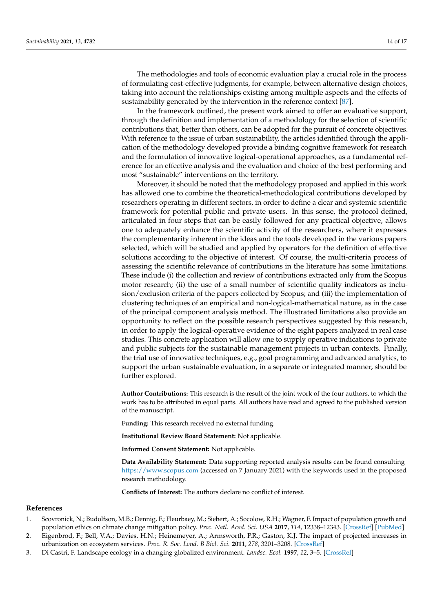The methodologies and tools of economic evaluation play a crucial role in the process of formulating cost-effective judgments, for example, between alternative design choices, taking into account the relationships existing among multiple aspects and the effects of sustainability generated by the intervention in the reference context [\[87\]](#page-16-9).

In the framework outlined, the present work aimed to offer an evaluative support, through the definition and implementation of a methodology for the selection of scientific contributions that, better than others, can be adopted for the pursuit of concrete objectives. With reference to the issue of urban sustainability, the articles identified through the application of the methodology developed provide a binding cognitive framework for research and the formulation of innovative logical-operational approaches, as a fundamental reference for an effective analysis and the evaluation and choice of the best performing and most "sustainable" interventions on the territory.

Moreover, it should be noted that the methodology proposed and applied in this work has allowed one to combine the theoretical-methodological contributions developed by researchers operating in different sectors, in order to define a clear and systemic scientific framework for potential public and private users. In this sense, the protocol defined, articulated in four steps that can be easily followed for any practical objective, allows one to adequately enhance the scientific activity of the researchers, where it expresses the complementarity inherent in the ideas and the tools developed in the various papers selected, which will be studied and applied by operators for the definition of effective solutions according to the objective of interest. Of course, the multi-criteria process of assessing the scientific relevance of contributions in the literature has some limitations. These include (i) the collection and review of contributions extracted only from the Scopus motor research; (ii) the use of a small number of scientific quality indicators as inclusion/exclusion criteria of the papers collected by Scopus; and (iii) the implementation of clustering techniques of an empirical and non-logical-mathematical nature, as in the case of the principal component analysis method. The illustrated limitations also provide an opportunity to reflect on the possible research perspectives suggested by this research, in order to apply the logical-operative evidence of the eight papers analyzed in real case studies. This concrete application will allow one to supply operative indications to private and public subjects for the sustainable management projects in urban contexts. Finally, the trial use of innovative techniques, e.g., goal programming and advanced analytics, to support the urban sustainable evaluation, in a separate or integrated manner, should be further explored.

**Author Contributions:** This research is the result of the joint work of the four authors, to which the work has to be attributed in equal parts. All authors have read and agreed to the published version of the manuscript.

**Funding:** This research received no external funding.

**Institutional Review Board Statement:** Not applicable.

**Informed Consent Statement:** Not applicable.

**Data Availability Statement:** Data supporting reported analysis results can be found consulting <https://www.scopus.com> (accessed on 7 January 2021) with the keywords used in the proposed research methodology.

**Conflicts of Interest:** The authors declare no conflict of interest.

#### **References**

- <span id="page-13-0"></span>1. Scovronick, N.; Budolfson, M.B.; Dennig, F.; Fleurbaey, M.; Siebert, A.; Socolow, R.H.; Wagner, F. Impact of population growth and population ethics on climate change mitigation policy. *Proc. Natl. Acad. Sci. USA* **2017**, *114*, 12338–12343. [\[CrossRef\]](http://doi.org/10.1073/pnas.1618308114) [\[PubMed\]](http://www.ncbi.nlm.nih.gov/pubmed/29087298)
- <span id="page-13-1"></span>2. Eigenbrod, F.; Bell, V.A.; Davies, H.N.; Heinemeyer, A.; Armsworth, P.R.; Gaston, K.J. The impact of projected increases in urbanization on ecosystem services. *Proc. R. Soc. Lond. B Biol. Sci.* **2011**, *278*, 3201–3208. [\[CrossRef\]](http://doi.org/10.1098/rspb.2010.2754)
- <span id="page-13-2"></span>3. Di Castri, F. Landscape ecology in a changing globalized environment. *Landsc. Ecol.* **1997**, *12*, 3–5. [\[CrossRef\]](http://doi.org/10.1007/BF02698202)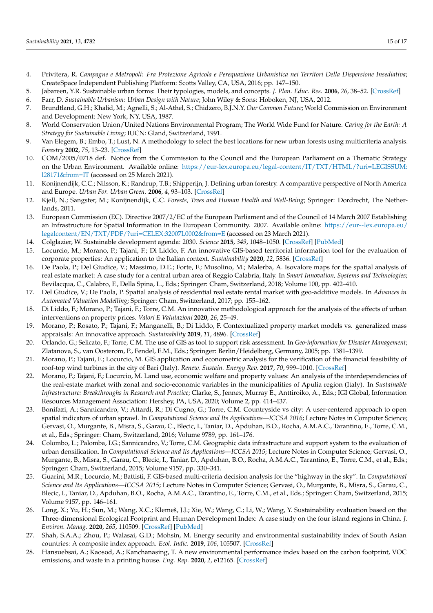- <span id="page-14-0"></span>4. Privitera, R. *Campagne e Metropoli: Fra Protezione Agricola e Perequazione Urbanistica nei Territori Della Dispersione Insediativa*; CreateSpace Independent Publishing Platform: Scotts Valley, CA, USA, 2016; pp. 147–150.
- <span id="page-14-1"></span>5. Jabareen, Y.R. Sustainable urban forms: Their typologies, models, and concepts. *J. Plan. Educ. Res.* **2006**, *26*, 38–52. [\[CrossRef\]](http://doi.org/10.1177/0739456X05285119)
- <span id="page-14-2"></span>6. Farr, D. *Sustainable Urbanism: Urban Design with Nature*; John Wiley & Sons: Hoboken, NJ, USA, 2012.
- <span id="page-14-3"></span>7. Brundtland, G.H.; Khalid, M.; Agnelli, S.; Al-Athel, S.; Chidzero, B.J.N.Y. *Our Common Future*; World Commission on Environment and Development: New York, NY, USA, 1987.
- <span id="page-14-4"></span>8. World Conservation Union/United Nations Environmental Program; The World Wide Fund for Nature. *Caring for the Earth: A Strategy for Sustainable Living*; IUCN: Gland, Switzerland, 1991.
- <span id="page-14-5"></span>9. Van Elegem, B.; Embo, T.; Lust, N. A methodology to select the best locations for new urban forests using multicriteria analysis. *Forestry* **2002**, *75*, 13–23. [\[CrossRef\]](http://doi.org/10.1093/forestry/75.1.13)
- <span id="page-14-6"></span>10. COM/2005/0718 def. Notice from the Commission to the Council and the European Parliament on a Thematic Strategy on the Urban Environment. Available online: [https://eur-lex.europa.eu/legal-content/IT/TXT/HTML/?uri=LEGISSUM:](https://eur-lex.europa.eu/legal-content/IT/TXT/HTML/?uri=LEGISSUM:l28171&from=IT) [l28171&from=IT](https://eur-lex.europa.eu/legal-content/IT/TXT/HTML/?uri=LEGISSUM:l28171&from=IT) (accessed on 25 March 2021).
- <span id="page-14-7"></span>11. Konijnendijk, C.C.; Nilsson, K.; Randrup, T.B.; Shipperijn, J. Defining urban forestry. A comparative perspective of North America and Europe. *Urban For. Urban Green.* **2006**, *4*, 93–103. [\[CrossRef\]](http://doi.org/10.1016/j.ufug.2005.11.003)
- <span id="page-14-8"></span>12. Kjell, N.; Sangster, M.; Konijnendijk, C.C. *Forests, Trees and Human Health and Well-Being*; Springer: Dordrecht, The Netherlands, 2011.
- <span id="page-14-9"></span>13. European Commission (EC). Directive 2007/2/EC of the European Parliament and of the Council of 14 March 2007 Establishing an Infrastructure for Spatial Information in the European Community. 2007. Available online: [https://eur--lex.europa.eu/](https://eur--lex.europa.eu/legalcontent/EN/TXT/PDF/?uri=CELEX:32007L0002&from=E) [legalcontent/EN/TXT/PDF/?uri=CELEX:32007L0002&from=E](https://eur--lex.europa.eu/legalcontent/EN/TXT/PDF/?uri=CELEX:32007L0002&from=E) (accessed on 23 March 2021).
- <span id="page-14-10"></span>14. Colglazier, W. Sustainable development agenda: 2030. *Science* **2015**, *349*, 1048–1050. [\[CrossRef\]](http://doi.org/10.1126/science.aad2333) [\[PubMed\]](http://www.ncbi.nlm.nih.gov/pubmed/26339011)
- <span id="page-14-11"></span>15. Locurcio, M.; Morano, P.; Tajani, F.; Di Liddo, F. An innovative GIS-based territorial information tool for the evaluation of corporate properties: An application to the Italian context. *Sustainability* **2020**, *12*, 5836. [\[CrossRef\]](http://doi.org/10.3390/su12145836)
- 16. De Paola, P.; Del Giudice, V.; Massimo, D.E.; Forte, F.; Musolino, M.; Malerba, A. Isovalore maps for the spatial analysis of real estate market: A case study for a central urban area of Reggio Calabria, Italy. In *Smart Innovation, Systems and Technologies*; Bevilacqua, C., Calabro, F., Della Spina, L., Eds.; Springer: Cham, Switzerland, 2018; Volume 100, pp. 402–410.
- <span id="page-14-12"></span>17. Del Giudice, V.; De Paola, P. Spatial analysis of residential real estate rental market with geo-additive models. In *Advances in Automated Valuation Modelling*; Springer: Cham, Switzerland, 2017; pp. 155–162.
- <span id="page-14-13"></span>18. Di Liddo, F.; Morano, P.; Tajani, F.; Torre, C.M. An innovative methodological approach for the analysis of the effects of urban interventions on property prices. *Valori E Valutazioni* **2020**, *26*, 25–49.
- <span id="page-14-14"></span>19. Morano, P.; Rosato, P.; Tajani, F.; Manganelli, B.; Di Liddo, F. Contextualized property market models vs. generalized mass appraisals: An innovative approach. *Sustainability* **2019**, *11*, 4896. [\[CrossRef\]](http://doi.org/10.3390/su11184896)
- <span id="page-14-15"></span>20. Orlando, G.; Selicato, F.; Torre, C.M. The use of GIS as tool to support risk assessment. In *Geo-information for Disaster Management*; Zlatanova, S., van Oosterom, P., Fendel, E.M., Eds.; Springer: Berlin/Heidelberg, Germany, 2005; pp. 1381–1399.
- <span id="page-14-16"></span>21. Morano, P.; Tajani, F.; Locurcio, M. GIS application and econometric analysis for the verification of the financial feasibility of roof-top wind turbines in the city of Bari (Italy). *Renew. Sustain. Energy Rev.* **2017**, *70*, 999–1010. [\[CrossRef\]](http://doi.org/10.1016/j.rser.2016.12.005)
- <span id="page-14-17"></span>22. Morano, P.; Tajani, F.; Locurcio, M. Land use, economic welfare and property values: An analysis of the interdependencies of the real-estate market with zonal and socio-economic variables in the municipalities of Apulia region (Italy). In *Sustainable Infrastructure: Breakthroughs in Research and Practice*; Clarke, S., Jennex, Murray E., Anttiroiko, A., Eds.; IGI Global, Information Resources Management Association: Hershey, PA, USA, 2020; Volume 2, pp. 414–437.
- <span id="page-14-18"></span>23. Bonifazi, A.; Sannicandro, V.; Attardi, R.; Di Cugno, G.; Torre, C.M. Countryside vs city: A user-centered approach to open spatial indicators of urban sprawl. In *Computational Science and Its Applications—ICCSA 2016*; Lecture Notes in Computer Science; Gervasi, O., Murgante, B., Misra, S., Garau, C., Blecic, I., Taniar, D., Apduhan, B.O., Rocha, A.M.A.C., Tarantino, E., Torre, C.M., et al., Eds.; Springer: Cham, Switzerland, 2016; Volume 9789, pp. 161–176.
- <span id="page-14-19"></span>24. Colombo, L.; Palomba, I.G.; Sannicandro, V.; Torre, C.M. Geographic data infrastructure and support system to the evaluation of urban densification. In *Computational Science and Its Applications—ICCSA 2015*; Lecture Notes in Computer Science; Gervasi, O., Murgante, B., Misra, S., Garau, C., Blecic, I., Taniar, D., Apduhan, B.O., Rocha, A.M.A.C., Tarantino, E., Torre, C.M., et al., Eds.; Springer: Cham, Switzerland, 2015; Volume 9157, pp. 330–341.
- <span id="page-14-20"></span>25. Guarini, M.R.; Locurcio, M.; Battisti, F. GIS-based multi-criteria decision analysis for the "highway in the sky". In *Computational Science and Its Applications—ICCSA 2015*; Lecture Notes in Computer Science; Gervasi, O., Murgante, B., Misra, S., Garau, C., Blecic, I., Taniar, D., Apduhan, B.O., Rocha, A.M.A.C., Tarantino, E., Torre, C.M., et al., Eds.; Springer: Cham, Switzerland, 2015; Volume 9157, pp. 146–161.
- <span id="page-14-21"></span>26. Long, X.; Yu, H.; Sun, M.; Wang, X.C.; Klemeš, J.J.; Xie, W.; Wang, C.; Li, W.; Wang, Y. Sustainability evaluation based on the Three-dimensional Ecological Footprint and Human Development Index: A case study on the four island regions in China. *J. Environ. Manag.* **2020**, *265*, 110509. [\[CrossRef\]](http://doi.org/10.1016/j.jenvman.2020.110509) [\[PubMed\]](http://www.ncbi.nlm.nih.gov/pubmed/32421554)
- <span id="page-14-22"></span>27. Shah, S.A.A.; Zhou, P.; Walasai, G.D.; Mohsin, M. Energy security and environmental sustainability index of South Asian countries: A composite index approach. *Ecol. Indic.* **2019**, *106*, 105507. [\[CrossRef\]](http://doi.org/10.1016/j.ecolind.2019.105507)
- <span id="page-14-23"></span>28. Hansuebsai, A.; Kaosod, A.; Kanchanasing, T. A new environmental performance index based on the carbon footprint, VOC emissions, and waste in a printing house. *Eng. Rep.* **2020**, *2*, e12165. [\[CrossRef\]](http://doi.org/10.1002/eng2.12165)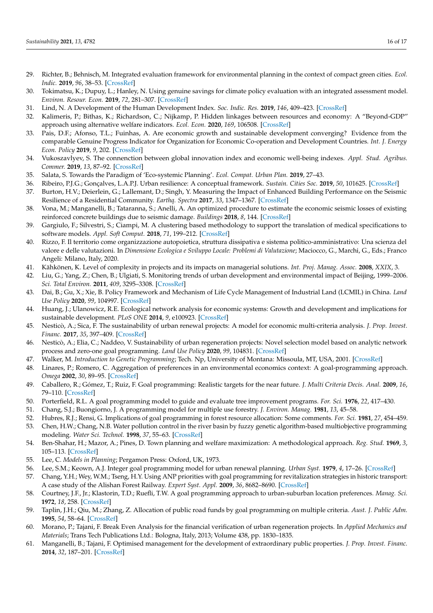- <span id="page-15-0"></span>29. Richter, B.; Behnisch, M. Integrated evaluation framework for environmental planning in the context of compact green cities. *Ecol. Indic.* **2019**, *96*, 38–53. [\[CrossRef\]](http://doi.org/10.1016/j.ecolind.2018.05.025)
- <span id="page-15-1"></span>30. Tokimatsu, K.; Dupuy, L.; Hanley, N. Using genuine savings for climate policy evaluation with an integrated assessment model. *Environ. Resour. Econ.* **2019**, *72*, 281–307. [\[CrossRef\]](http://doi.org/10.1007/s10640-018-0292-2)
- <span id="page-15-2"></span>31. Lind, N. A Development of the Human Development Index. *Soc. Indic. Res.* **2019**, *146*, 409–423. [\[CrossRef\]](http://doi.org/10.1007/s11205-019-02133-9)
- <span id="page-15-3"></span>32. Kalimeris, P.; Bithas, K.; Richardson, C.; Nijkamp, P. Hidden linkages between resources and economy: A "Beyond-GDP" approach using alternative welfare indicators. *Ecol. Econ.* **2020**, *169*, 106508. [\[CrossRef\]](http://doi.org/10.1016/j.ecolecon.2019.106508)
- <span id="page-15-4"></span>33. Pais, D.F.; Afonso, T.L.; Fuinhas, A. Are economic growth and sustainable development converging? Evidence from the comparable Genuine Progress Indicator for Organization for Economic Co-operation and Development Countries. *Int. J. Energy Econ. Policy* **2019**, *9*, 202. [\[CrossRef\]](http://doi.org/10.32479/ijeep.7678)
- <span id="page-15-5"></span>34. Vukoszavlyev, S. The connenction between global innovation index and economic well-being indexes. *Appl. Stud. Agribus. Commer.* **2019**, *13*, 87–92. [\[CrossRef\]](http://doi.org/10.19041/APSTRACT/2019/3-4/11)
- <span id="page-15-6"></span>35. Salata, S. Towards the Paradigm of 'Eco-systemic Planning'. *Ecol. Compat. Urban Plan.* **2019**, 27–43.
- <span id="page-15-7"></span>36. Ribeiro, P.J.G.; Gonçalves, L.A.P.J. Urban resilience: A conceptual framework. *Sustain. Cities Soc.* **2019**, *50*, 101625. [\[CrossRef\]](http://doi.org/10.1016/j.scs.2019.101625)
- 37. Burton, H.V.; Deierlein, G.; Lallemant, D.; Singh, Y. Measuring the Impact of Enhanced Building Performance on the Seismic Resilience of a Residential Community. *Earthq. Spectra* **2017**, *33*, 1347–1367. [\[CrossRef\]](http://doi.org/10.1193/040916eqs057m)
- <span id="page-15-8"></span>38. Vona, M.; Manganelli, B.; Tataranna, S.; Anelli, A. An optimized procedure to estimate the economic seismic losses of existing reinforced concrete buildings due to seismic damage. *Buildings* **2018**, *8*, 144. [\[CrossRef\]](http://doi.org/10.3390/buildings8100144)
- <span id="page-15-9"></span>39. Gargiulo, F.; Silvestri, S.; Ciampi, M. A clustering based methodology to support the translation of medical specifications to software models. *Appl. Soft Comput.* **2018**, *71*, 199–212. [\[CrossRef\]](http://doi.org/10.1016/j.asoc.2018.03.057)
- <span id="page-15-10"></span>40. Rizzo, F. Il territorio come organizzazione autopoietica, struttura dissipativa e sistema politico-amministrativo: Una scienza del valore e delle valutazioni. In *Dimensione Ecologica e Sviluppo Locale: Problemi di Valutazione*; Maciocco, G., Marchi, G., Eds.; Franco Angeli: Milano, Italy, 2020.
- <span id="page-15-11"></span>41. Kähkönen, K. Level of complexity in projects and its impacts on managerial solutions. *Int. Proj. Manag. Assoc.* **2008**, *XXIX*, 3.
- <span id="page-15-12"></span>42. Liu, G.; Yang, Z.; Chen, B.; Ulgiati, S. Monitoring trends of urban development and environmental impact of Beijing, 1999–2006. *Sci. Total Environ.* **2011**, *409*, 3295–3308. [\[CrossRef\]](http://doi.org/10.1016/j.scitotenv.2011.05.045)
- <span id="page-15-13"></span>43. Dai, B.; Gu, X.; Xie, B. Policy Framework and Mechanism of Life Cycle Management of Industrial Land (LCMIL) in China. *Land Use Policy* **2020**, *99*, 104997. [\[CrossRef\]](http://doi.org/10.1016/j.landusepol.2020.104997)
- <span id="page-15-14"></span>44. Huang, J.; Ulanowicz, R.E. Ecological network analysis for economic systems: Growth and development and implications for sustainable development. *PLoS ONE* **2014**, *9*, e100923. [\[CrossRef\]](http://doi.org/10.1371/journal.pone.0100923)
- <span id="page-15-15"></span>45. Nesticò, A.; Sica, F. The sustainability of urban renewal projects: A model for economic multi-criteria analysis. *J. Prop. Invest. Financ.* **2017**, *35*, 397–409. [\[CrossRef\]](http://doi.org/10.1108/JPIF-01-2017-0003)
- <span id="page-15-16"></span>46. Nesticò, A.; Elia, C.; Naddeo, V. Sustainability of urban regeneration projects: Novel selection model based on analytic network process and zero-one goal programming. *Land Use Policy* **2020**, *99*, 104831. [\[CrossRef\]](http://doi.org/10.1016/j.landusepol.2020.104831)
- <span id="page-15-17"></span>47. Walker, M. *Introduction to Genetic Programming*; Tech. Np, University of Montana: Missoula, MT, USA, 2001. [\[CrossRef\]](http://doi.org/10.7551/mitpress/1108.003.0006)
- <span id="page-15-18"></span>48. Linares, P.; Romero, C. Aggregation of preferences in an environmental economics context: A goal-programming approach. *Omega* **2002**, *30*, 89–95. [\[CrossRef\]](http://doi.org/10.1016/S0305-0483(01)00059-7)
- <span id="page-15-19"></span>49. Caballero, R.; Gómez, T.; Ruiz, F. Goal programming: Realistic targets for the near future. *J. Multi Criteria Decis. Anal.* **2009**, *16*, 79–110. [\[CrossRef\]](http://doi.org/10.1002/mcda.442)
- <span id="page-15-20"></span>50. Porterfield, R.L. A goal programming model to guide and evaluate tree improvement programs. *For. Sci.* **1976**, *22*, 417–430.
- 51. Chang, S.J.; Buongiorno, J. A programming model for multiple use forestry. *J. Environ. Manag.* **1981**, *13*, 45–58.
- 52. Hubres, R.J.; Rensi, G. Implications of goal programming in forest resource allocation: Some comments. *For. Sci.* **1981**, *27*, 454–459.
- <span id="page-15-21"></span>53. Chen, H.W.; Chang, N.B. Water pollution control in the river basin by fuzzy genetic algorithm-based multiobjective programming modeling. *Water Sci. Technol.* **1998**, *37*, 55–63. [\[CrossRef\]](http://doi.org/10.2166/wst.1998.0308)
- <span id="page-15-22"></span>54. Ben-Shahar, H.; Mazor, A.; Pines, D. Town planning and welfare maximization: A methodological approach. *Reg. Stud.* **1969**, *3*, 105–113. [\[CrossRef\]](http://doi.org/10.1080/09595236900185141)
- 55. Lee, C. *Models in Planning*; Pergamon Press: Oxford, UK, 1973.
- <span id="page-15-23"></span>56. Lee, S.M.; Keown, A.J. Integer goal programming model for urban renewal planning. *Urban Syst.* **1979**, *4*, 17–26. [\[CrossRef\]](http://doi.org/10.1016/0147-8001(79)90003-2)
- <span id="page-15-24"></span>57. Chang, Y.H.; Wey, W.M.; Tseng, H.Y. Using ANP priorities with goal programming for revitalization strategies in historic transport: A case study of the Alishan Forest Railway. *Expert Syst. Appl.* **2009**, *36*, 8682–8690. [\[CrossRef\]](http://doi.org/10.1016/j.eswa.2008.10.024)
- <span id="page-15-25"></span>58. Courtney, J.F., Jr.; Klastorin, T.D.; Ruefli, T.W. A goal programming approach to urban-suburban location preferences. *Manag. Sci.* **1972**, *18*, 258. [\[CrossRef\]](http://doi.org/10.1287/mnsc.18.6.B258)
- <span id="page-15-26"></span>59. Taplin, J.H.; Qiu, M.; Zhang, Z. Allocation of public road funds by goal programming on multiple criteria. *Aust. J. Public Adm.* **1995**, *54*, 58–64. [\[CrossRef\]](http://doi.org/10.1111/j.1467-8500.1995.tb01111.x)
- <span id="page-15-27"></span>60. Morano, P.; Tajani, F. Break Even Analysis for the financial verification of urban regeneration projects. In *Applied Mechanics and Materials*; Trans Tech Publications Ltd.: Bologna, Italy, 2013; Volume 438, pp. 1830–1835.
- <span id="page-15-28"></span>61. Manganelli, B.; Tajani, F. Optimised management for the development of extraordinary public properties. *J. Prop. Invest. Financ.* **2014**, *32*, 187–201. [\[CrossRef\]](http://doi.org/10.1108/JPIF-05-2013-0034)